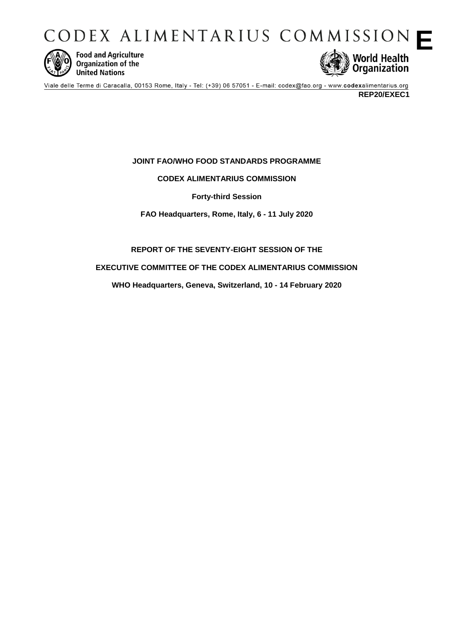CODEX ALIMENTARIUS COMMISSION  $\blacksquare$ 



**Food and Agriculture** Organization of the **United Nations** 



Viale delle Terme di Caracalla, 00153 Rome, Italy - Tel: (+39) 06 57051 - E-mail: codex@fao.org - www.codexalimentarius.org **REP20/EXEC1**

# **JOINT FAO/WHO FOOD STANDARDS PROGRAMME**

# **CODEX ALIMENTARIUS COMMISSION**

**Forty-third Session**

**FAO Headquarters, Rome, Italy, 6 - 11 July 2020**

**REPORT OF THE SEVENTY-EIGHT SESSION OF THE**

**EXECUTIVE COMMITTEE OF THE CODEX ALIMENTARIUS COMMISSION**

**WHO Headquarters, Geneva, Switzerland, 10 - 14 February 2020**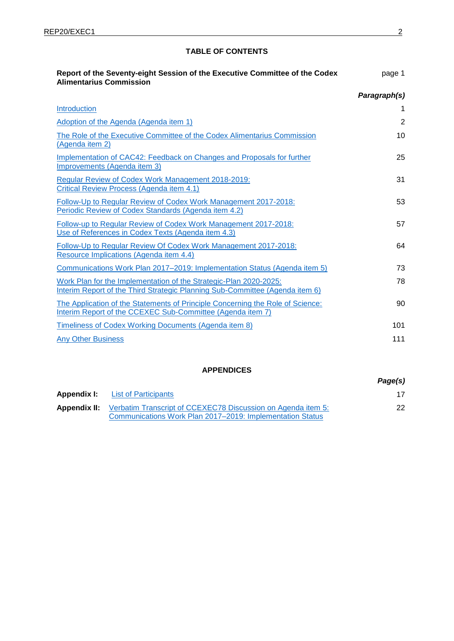# **TABLE OF CONTENTS**

| Report of the Seventy-eight Session of the Executive Committee of the Codex<br><b>Alimentarius Commission</b>                                     | page 1         |
|---------------------------------------------------------------------------------------------------------------------------------------------------|----------------|
|                                                                                                                                                   | Paragraph(s)   |
| Introduction                                                                                                                                      | 1              |
| Adoption of the Agenda (Agenda item 1)                                                                                                            | $\overline{2}$ |
| The Role of the Executive Committee of the Codex Alimentarius Commission<br>(Agenda item 2)                                                       | 10             |
| Implementation of CAC42: Feedback on Changes and Proposals for further<br>Improvements (Agenda item 3)                                            | 25             |
| Regular Review of Codex Work Management 2018-2019:<br>Critical Review Process (Agenda item 4.1)                                                   | 31             |
| Follow-Up to Regular Review of Codex Work Management 2017-2018:<br>Periodic Review of Codex Standards (Agenda item 4.2)                           | 53             |
| Follow-up to Regular Review of Codex Work Management 2017-2018:<br>Use of References in Codex Texts (Agenda item 4.3)                             | 57             |
| Follow-Up to Regular Review Of Codex Work Management 2017-2018:<br>Resource Implications (Agenda item 4.4)                                        | 64             |
| Communications Work Plan 2017–2019: Implementation Status (Agenda item 5)                                                                         | 73             |
| Work Plan for the Implementation of the Strategic-Plan 2020-2025:<br>Interim Report of the Third Strategic Planning Sub-Committee (Agenda item 6) | 78             |
| The Application of the Statements of Principle Concerning the Role of Science:<br>Interim Report of the CCEXEC Sub-Committee (Agenda item 7)      | 90             |
| Timeliness of Codex Working Documents (Agenda item 8)                                                                                             | 101            |
| <b>Any Other Business</b>                                                                                                                         | 111            |

# **APPENDICES**

*Page(s)* **Appendix I:** [List of Participants](#page-16-0) 17 Appendix II: [Verbatim Transcript of CCEXEC78 Discussion on Agenda item 5:](#page-21-0) [Communications Work Plan 2017–2019: Implementation Status](#page-21-0) 22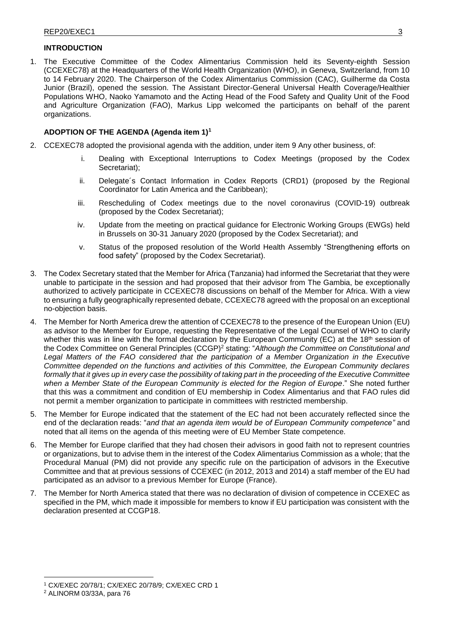# <span id="page-2-0"></span>**INTRODUCTION**

1. The Executive Committee of the Codex Alimentarius Commission held its Seventy-eighth Session (CCEXEC78) at the Headquarters of the World Health Organization (WHO), in Geneva, Switzerland, from 10 to 14 February 2020. The Chairperson of the Codex Alimentarius Commission (CAC), Guilherme da Costa Junior (Brazil), opened the session. The Assistant Director-General Universal Health Coverage/Healthier Populations WHO, Naoko Yamamoto and the Acting Head of the Food Safety and Quality Unit of the Food and Agriculture Organization (FAO), Markus Lipp welcomed the participants on behalf of the parent organizations.

# <span id="page-2-1"></span>**ADOPTION OF THE AGENDA (Agenda item 1)<sup>1</sup>**

- 2. CCEXEC78 adopted the provisional agenda with the addition, under item 9 Any other business, of:
	- i. Dealing with Exceptional Interruptions to Codex Meetings (proposed by the Codex Secretariat);
	- ii. Delegate´s Contact Information in Codex Reports (CRD1) (proposed by the Regional Coordinator for Latin America and the Caribbean);
	- iii. Rescheduling of Codex meetings due to the novel coronavirus (COVID-19) outbreak (proposed by the Codex Secretariat);
	- iv. Update from the meeting on practical guidance for Electronic Working Groups (EWGs) held in Brussels on 30-31 January 2020 (proposed by the Codex Secretariat); and
	- v. Status of the proposed resolution of the World Health Assembly "Strengthening efforts on food safety" (proposed by the Codex Secretariat).
- 3. The Codex Secretary stated that the Member for Africa (Tanzania) had informed the Secretariat that they were unable to participate in the session and had proposed that their advisor from The Gambia, be exceptionally authorized to actively participate in CCEXEC78 discussions on behalf of the Member for Africa. With a view to ensuring a fully geographically represented debate, CCEXEC78 agreed with the proposal on an exceptional no-objection basis.
- 4. The Member for North America drew the attention of CCEXEC78 to the presence of the European Union (EU) as advisor to the Member for Europe, requesting the Representative of the Legal Counsel of WHO to clarify whether this was in line with the formal declaration by the European Community (EC) at the 18<sup>th</sup> session of the Codex Committee on General Principles (CCGP) <sup>2</sup> stating: "*Although the Committee on Constitutional and Legal Matters of the FAO considered that the participation of a Member Organization in the Executive Committee depended on the functions and activities of this Committee, the European Community declares formally that it gives up in every case the possibility of taking part in the proceeding of the Executive Committee when a Member State of the European Community is elected for the Region of Europe*." She noted further that this was a commitment and condition of EU membership in Codex Alimentarius and that FAO rules did not permit a member organization to participate in committees with restricted membership.
- 5. The Member for Europe indicated that the statement of the EC had not been accurately reflected since the end of the declaration reads: "*and that an agenda item would be of European Community competence"* and noted that all items on the agenda of this meeting were of EU Member State competence*.*
- 6. The Member for Europe clarified that they had chosen their advisors in good faith not to represent countries or organizations, but to advise them in the interest of the Codex Alimentarius Commission as a whole; that the Procedural Manual (PM) did not provide any specific rule on the participation of advisors in the Executive Committee and that at previous sessions of CCEXEC (in 2012, 2013 and 2014) a staff member of the EU had participated as an advisor to a previous Member for Europe (France).
- 7. The Member for North America stated that there was no declaration of division of competence in CCEXEC as specified in the PM, which made it impossible for members to know if EU participation was consistent with the declaration presented at CCGP18.

<sup>1</sup> CX/EXEC 20/78/1; CX/EXEC 20/78/9; CX/EXEC CRD 1

<sup>2</sup> ALINORM 03/33A, para 76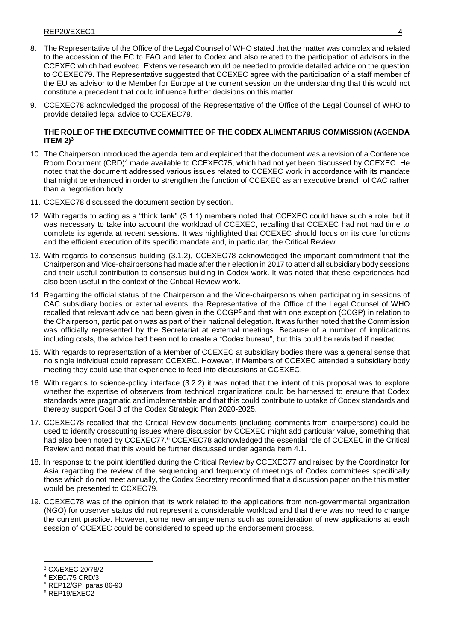- 8. The Representative of the Office of the Legal Counsel of WHO stated that the matter was complex and related to the accession of the EC to FAO and later to Codex and also related to the participation of advisors in the CCEXEC which had evolved. Extensive research would be needed to provide detailed advice on the question to CCEXEC79. The Representative suggested that CCEXEC agree with the participation of a staff member of the EU as advisor to the Member for Europe at the current session on the understanding that this would not constitute a precedent that could influence further decisions on this matter.
- 9. CCEXEC78 acknowledged the proposal of the Representative of the Office of the Legal Counsel of WHO to provide detailed legal advice to CCEXEC79.

# <span id="page-3-0"></span>**THE ROLE OF THE EXECUTIVE COMMITTEE OF THE CODEX ALIMENTARIUS COMMISSION (AGENDA ITEM 2)<sup>3</sup>**

- 10. The Chairperson introduced the agenda item and explained that the document was a revision of a Conference Room Document (CRD)<sup>4</sup> made available to CCEXEC75, which had not yet been discussed by CCEXEC. He noted that the document addressed various issues related to CCEXEC work in accordance with its mandate that might be enhanced in order to strengthen the function of CCEXEC as an executive branch of CAC rather than a negotiation body.
- 11. CCEXEC78 discussed the document section by section.
- 12. With regards to acting as a "think tank" (3.1.1) members noted that CCEXEC could have such a role, but it was necessary to take into account the workload of CCEXEC, recalling that CCEXEC had not had time to complete its agenda at recent sessions. It was highlighted that CCEXEC should focus on its core functions and the efficient execution of its specific mandate and, in particular, the Critical Review.
- 13. With regards to consensus building (3.1.2), CCEXEC78 acknowledged the important commitment that the Chairperson and Vice-chairpersons had made after their election in 2017 to attend all subsidiary body sessions and their useful contribution to consensus building in Codex work. It was noted that these experiences had also been useful in the context of the Critical Review work.
- 14. Regarding the official status of the Chairperson and the Vice-chairpersons when participating in sessions of CAC subsidiary bodies or external events, the Representative of the Office of the Legal Counsel of WHO recalled that relevant advice had been given in the CCGP<sup>5</sup> and that with one exception (CCGP) in relation to the Chairperson, participation was as part of their national delegation. It was further noted that the Commission was officially represented by the Secretariat at external meetings. Because of a number of implications including costs, the advice had been not to create a "Codex bureau", but this could be revisited if needed.
- 15. With regards to representation of a Member of CCEXEC at subsidiary bodies there was a general sense that no single individual could represent CCEXEC. However, if Members of CCEXEC attended a subsidiary body meeting they could use that experience to feed into discussions at CCEXEC.
- 16. With regards to science-policy interface (3.2.2) it was noted that the intent of this proposal was to explore whether the expertise of observers from technical organizations could be harnessed to ensure that Codex standards were pragmatic and implementable and that this could contribute to uptake of Codex standards and thereby support Goal 3 of the Codex Strategic Plan 2020-2025.
- 17. CCEXEC78 recalled that the Critical Review documents (including comments from chairpersons) could be used to identify crosscutting issues where discussion by CCEXEC might add particular value, something that had also been noted by CCEXEC77.<sup>6</sup> CCEXEC78 acknowledged the essential role of CCEXEC in the Critical Review and noted that this would be further discussed under agenda item 4.1.
- 18. In response to the point identified during the Critical Review by CCEXEC77 and raised by the Coordinator for Asia regarding the review of the sequencing and frequency of meetings of Codex committees specifically those which do not meet annually, the Codex Secretary reconfirmed that a discussion paper on the this matter would be presented to CCXEC79.
- 19. CCEXEC78 was of the opinion that its work related to the applications from non-governmental organization (NGO) for observer status did not represent a considerable workload and that there was no need to change the current practice. However, some new arrangements such as consideration of new applications at each session of CCEXEC could be considered to speed up the endorsement process.

<sup>3</sup> CX/EXEC 20/78/2

<sup>4</sup> EXEC/75 CRD/3

<sup>5</sup> REP12/GP, paras 86-93

<sup>6</sup> REP19/EXEC2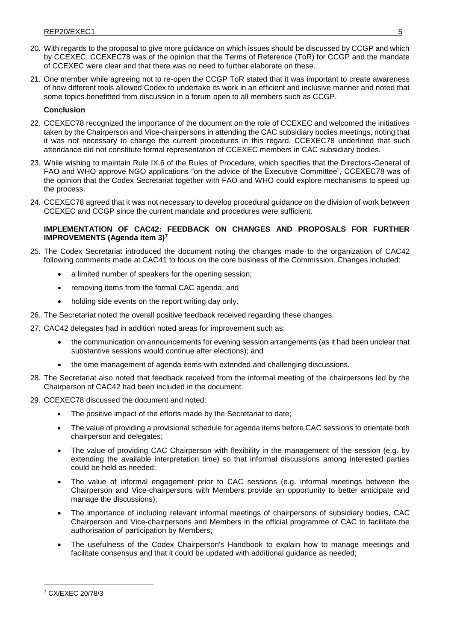- 20. With regards to the proposal to give more guidance on which issues should be discussed by CCGP and which by CCEXEC, CCEXEC78 was of the opinion that the Terms of Reference (ToR) for CCGP and the mandate of CCEXEC were clear and that there was no need to further elaborate on these.
- 21. One member while agreeing not to re-open the CCGP ToR stated that it was important to create awareness of how different tools allowed Codex to undertake its work in an efficient and inclusive manner and noted that some topics benefitted from discussion in a forum open to all members such as CCGP.

### **Conclusion**

- 22. CCEXEC78 recognized the importance of the document on the role of CCEXEC and welcomed the initiatives taken by the Chairperson and Vice-chairpersons in attending the CAC subsidiary bodies meetings, noting that it was not necessary to change the current procedures in this regard. CCEXEC78 underlined that such attendance did not constitute formal representation of CCEXEC members in CAC subsidiary bodies.
- 23. While wishing to maintain Rule IX.6 of the Rules of Procedure, which specifies that the Directors-General of FAO and WHO approve NGO applications "on the advice of the Executive Committee", CCEXEC78 was of the opinion that the Codex Secretariat together with FAO and WHO could explore mechanisms to speed up the process.
- 24. CCEXEC78 agreed that it was not necessary to develop procedural guidance on the division of work between CCEXEC and CCGP since the current mandate and procedures were sufficient.

# <span id="page-4-0"></span>**IMPLEMENTATION OF CAC42: FEEDBACK ON CHANGES AND PROPOSALS FOR FURTHER IMPROVEMENTS (Agenda item 3)<sup>7</sup>**

- 25. The Codex Secretariat introduced the document noting the changes made to the organization of CAC42 following comments made at CAC41 to focus on the core business of the Commission. Changes included:
	- a limited number of speakers for the opening session;
	- removing items from the formal CAC agenda; and
	- holding side events on the report writing day only.
- 26. The Secretariat noted the overall positive feedback received regarding these changes.
- 27. CAC42 delegates had in addition noted areas for improvement such as:
	- the communication on announcements for evening session arrangements (as it had been unclear that substantive sessions would continue after elections); and
	- the time-management of agenda items with extended and challenging discussions.
- 28. The Secretariat also noted that feedback received from the informal meeting of the chairpersons led by the Chairperson of CAC42 had been included in the document.
- 29. CCEXEC78 discussed the document and noted:
	- The positive impact of the efforts made by the Secretariat to date;
	- The value of providing a provisional schedule for agenda items before CAC sessions to orientate both chairperson and delegates;
	- The value of providing CAC Chairperson with flexibility in the management of the session (e.g. by extending the available interpretation time) so that informal discussions among interested parties could be held as needed;
	- The value of informal engagement prior to CAC sessions (e.g. informal meetings between the Chairperson and Vice-chairpersons with Members provide an opportunity to better anticipate and manage the discussions);
	- The importance of including relevant informal meetings of chairpersons of subsidiary bodies, CAC Chairperson and Vice-chairpersons and Members in the official programme of CAC to facilitate the authorisation of participation by Members;
	- The usefulness of the Codex Chairperson's Handbook to explain how to manage meetings and facilitate consensus and that it could be updated with additional guidance as needed;

<sup>7</sup> CX/EXEC 20/78/3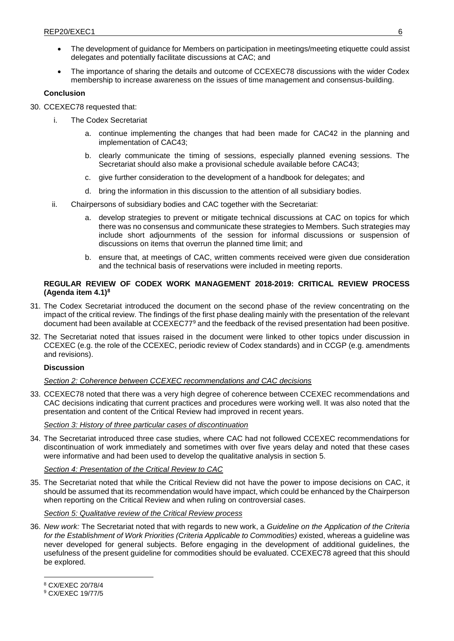- The development of guidance for Members on participation in meetings/meeting etiquette could assist delegates and potentially facilitate discussions at CAC; and
- The importance of sharing the details and outcome of CCEXEC78 discussions with the wider Codex membership to increase awareness on the issues of time management and consensus-building.

### **Conclusion**

30. CCEXEC78 requested that:

- i. The Codex Secretariat
	- a. continue implementing the changes that had been made for CAC42 in the planning and implementation of CAC43;
	- b. clearly communicate the timing of sessions, especially planned evening sessions. The Secretariat should also make a provisional schedule available before CAC43;
	- c. give further consideration to the development of a handbook for delegates; and
	- d. bring the information in this discussion to the attention of all subsidiary bodies.
- ii. Chairpersons of subsidiary bodies and CAC together with the Secretariat:
	- a. develop strategies to prevent or mitigate technical discussions at CAC on topics for which there was no consensus and communicate these strategies to Members. Such strategies may include short adjournments of the session for informal discussions or suspension of discussions on items that overrun the planned time limit; and
	- b. ensure that, at meetings of CAC, written comments received were given due consideration and the technical basis of reservations were included in meeting reports.

### <span id="page-5-0"></span>**REGULAR REVIEW OF CODEX WORK MANAGEMENT 2018-2019: CRITICAL REVIEW PROCESS (Agenda item 4.1)<sup>8</sup>**

- 31. The Codex Secretariat introduced the document on the second phase of the review concentrating on the impact of the critical review. The findings of the first phase dealing mainly with the presentation of the relevant document had been available at CCEXEC77<sup>9</sup> and the feedback of the revised presentation had been positive.
- 32. The Secretariat noted that issues raised in the document were linked to other topics under discussion in CCEXEC (e.g. the role of the CCEXEC, periodic review of Codex standards) and in CCGP (e.g. amendments and revisions).

# **Discussion**

### *Section 2: Coherence between CCEXEC recommendations and CAC decisions*

33. CCEXEC78 noted that there was a very high degree of coherence between CCEXEC recommendations and CAC decisions indicating that current practices and procedures were working well. It was also noted that the presentation and content of the Critical Review had improved in recent years.

#### *Section 3: History of three particular cases of discontinuation*

34. The Secretariat introduced three case studies, where CAC had not followed CCEXEC recommendations for discontinuation of work immediately and sometimes with over five years delay and noted that these cases were informative and had been used to develop the qualitative analysis in section 5.

#### *Section 4: Presentation of the Critical Review to CAC*

35. The Secretariat noted that while the Critical Review did not have the power to impose decisions on CAC, it should be assumed that its recommendation would have impact, which could be enhanced by the Chairperson when reporting on the Critical Review and when ruling on controversial cases.

#### *Section 5: Qualitative review of the Critical Review process*

36. *New work:* The Secretariat noted that with regards to new work, a *Guideline on the Application of the Criteria*  for the Establishment of Work Priorities (Criteria Applicable to Commodities) existed, whereas a guideline was never developed for general subjects. Before engaging in the development of additional guidelines, the usefulness of the present guideline for commodities should be evaluated. CCEXEC78 agreed that this should be explored.

<sup>8</sup> CX/EXEC 20/78/4

<sup>9</sup> CX/EXEC 19/77/5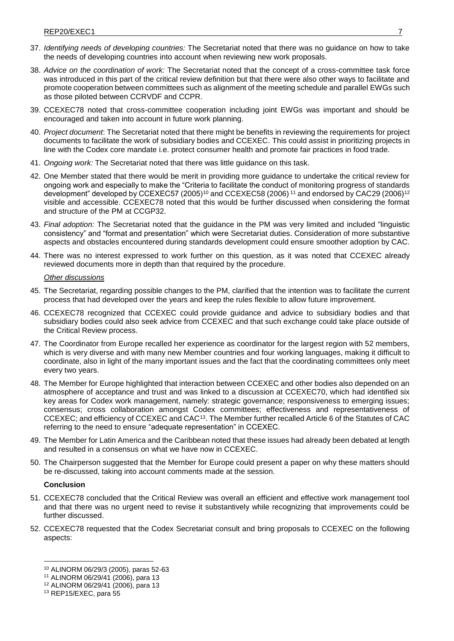- 37. *Identifying needs of developing countries:* The Secretariat noted that there was no guidance on how to take the needs of developing countries into account when reviewing new work proposals.
- 38. *Advice on the coordination of work:* The Secretariat noted that the concept of a cross-committee task force was introduced in this part of the critical review definition but that there were also other ways to facilitate and promote cooperation between committees such as alignment of the meeting schedule and parallel EWGs such as those piloted between CCRVDF and CCPR.
- 39. CCEXEC78 noted that cross-committee cooperation including joint EWGs was important and should be encouraged and taken into account in future work planning.
- 40. *Project document*: The Secretariat noted that there might be benefits in reviewing the requirements for project documents to facilitate the work of subsidiary bodies and CCEXEC. This could assist in prioritizing projects in line with the Codex core mandate i.e. protect consumer health and promote fair practices in food trade.
- 41. *Ongoing work:* The Secretariat noted that there was little guidance on this task.
- 42. One Member stated that there would be merit in providing more guidance to undertake the critical review for ongoing work and especially to make the "Criteria to facilitate the conduct of monitoring progress of standards development" developed by CCEXEC57 (2005)<sup>10</sup> and CCEXEC58 (2006)<sup>11</sup> and endorsed by CAC29 (2006)<sup>12</sup> visible and accessible. CCEXEC78 noted that this would be further discussed when considering the format and structure of the PM at CCGP32.
- 43. *Final adoption:* The Secretariat noted that the guidance in the PM was very limited and included "linguistic consistency" and "format and presentation" which were Secretariat duties. Consideration of more substantive aspects and obstacles encountered during standards development could ensure smoother adoption by CAC.
- 44. There was no interest expressed to work further on this question, as it was noted that CCEXEC already reviewed documents more in depth than that required by the procedure.

#### *Other discussions*

- 45. The Secretariat, regarding possible changes to the PM, clarified that the intention was to facilitate the current process that had developed over the years and keep the rules flexible to allow future improvement.
- 46. CCEXEC78 recognized that CCEXEC could provide guidance and advice to subsidiary bodies and that subsidiary bodies could also seek advice from CCEXEC and that such exchange could take place outside of the Critical Review process.
- 47. The Coordinator from Europe recalled her experience as coordinator for the largest region with 52 members, which is very diverse and with many new Member countries and four working languages, making it difficult to coordinate, also in light of the many important issues and the fact that the coordinating committees only meet every two years.
- 48. The Member for Europe highlighted that interaction between CCEXEC and other bodies also depended on an atmosphere of acceptance and trust and was linked to a discussion at CCEXEC70, which had identified six key areas for Codex work management, namely: strategic governance; responsiveness to emerging issues; consensus; cross collaboration amongst Codex committees; effectiveness and representativeness of CCEXEC; and efficiency of CCEXEC and CAC<sup>13</sup>. The Member further recalled Article 6 of the Statutes of CAC referring to the need to ensure "adequate representation" in CCEXEC.
- 49. The Member for Latin America and the Caribbean noted that these issues had already been debated at length and resulted in a consensus on what we have now in CCEXEC.
- 50. The Chairperson suggested that the Member for Europe could present a paper on why these matters should be re-discussed, taking into account comments made at the session.

#### **Conclusion**

- 51. CCEXEC78 concluded that the Critical Review was overall an efficient and effective work management tool and that there was no urgent need to revise it substantively while recognizing that improvements could be further discussed.
- 52. CCEXEC78 requested that the Codex Secretariat consult and bring proposals to CCEXEC on the following aspects:

<sup>10</sup> ALINORM 06/29/3 (2005), paras 52-63

<sup>11</sup> ALINORM 06/29/41 (2006), para 13

<sup>12</sup> ALINORM 06/29/41 (2006), para 13

<sup>13</sup> REP15/EXEC, para 55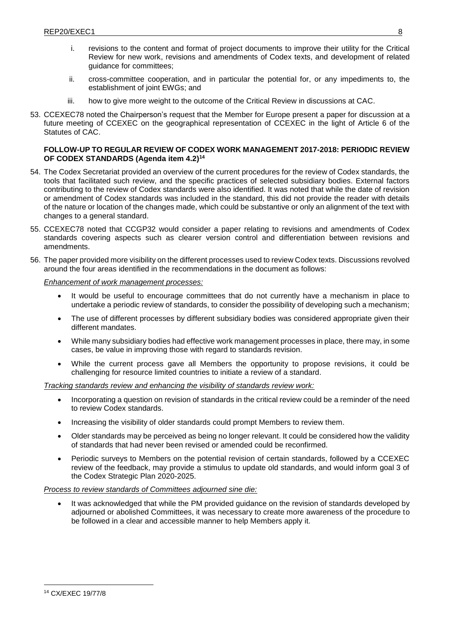- i. revisions to the content and format of project documents to improve their utility for the Critical Review for new work, revisions and amendments of Codex texts, and development of related guidance for committees;
- ii. cross-committee cooperation, and in particular the potential for, or any impediments to, the establishment of joint EWGs; and
- <span id="page-7-0"></span>iii. how to give more weight to the outcome of the Critical Review in discussions at CAC.
- 53. CCEXEC78 noted the Chairperson's request that the Member for Europe present a paper for discussion at a future meeting of CCEXEC on the geographical representation of CCEXEC in the light of Article 6 of the Statutes of CAC.

### **FOLLOW-UP TO REGULAR REVIEW OF CODEX WORK MANAGEMENT 2017-2018: PERIODIC REVIEW OF CODEX STANDARDS (Agenda item 4.2) 14**

- 54. The Codex Secretariat provided an overview of the current procedures for the review of Codex standards, the tools that facilitated such review, and the specific practices of selected subsidiary bodies. External factors contributing to the review of Codex standards were also identified. It was noted that while the date of revision or amendment of Codex standards was included in the standard, this did not provide the reader with details of the nature or location of the changes made, which could be substantive or only an alignment of the text with changes to a general standard.
- 55. CCEXEC78 noted that CCGP32 would consider a paper relating to revisions and amendments of Codex standards covering aspects such as clearer version control and differentiation between revisions and amendments.
- 56. The paper provided more visibility on the different processes used to review Codex texts. Discussions revolved around the four areas identified in the recommendations in the document as follows:

#### *Enhancement of work management processes:*

- It would be useful to encourage committees that do not currently have a mechanism in place to undertake a periodic review of standards, to consider the possibility of developing such a mechanism;
- The use of different processes by different subsidiary bodies was considered appropriate given their different mandates.
- While many subsidiary bodies had effective work management processes in place, there may, in some cases, be value in improving those with regard to standards revision.
- While the current process gave all Members the opportunity to propose revisions, it could be challenging for resource limited countries to initiate a review of a standard.

#### *Tracking standards review and enhancing the visibility of standards review work:*

- Incorporating a question on revision of standards in the critical review could be a reminder of the need to review Codex standards.
- Increasing the visibility of older standards could prompt Members to review them.
- Older standards may be perceived as being no longer relevant. It could be considered how the validity of standards that had never been revised or amended could be reconfirmed.
- Periodic surveys to Members on the potential revision of certain standards, followed by a CCEXEC review of the feedback, may provide a stimulus to update old standards, and would inform goal 3 of the Codex Strategic Plan 2020-2025.

#### *Process to review standards of Committees adjourned sine die:*

 It was acknowledged that while the PM provided guidance on the revision of standards developed by adjourned or abolished Committees, it was necessary to create more awareness of the procedure to be followed in a clear and accessible manner to help Members apply it.

<sup>14</sup> CX/EXEC 19/77/8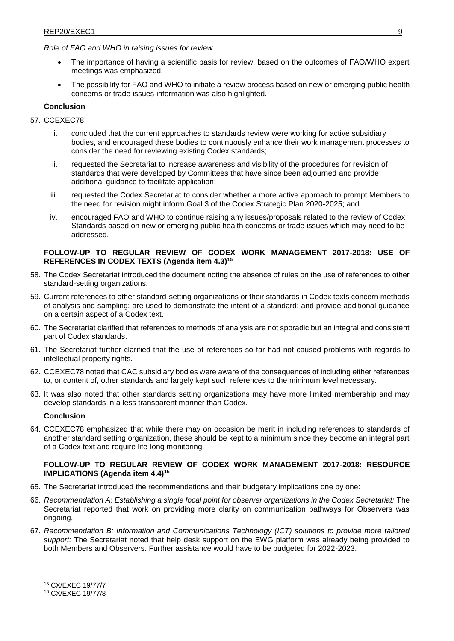# *Role of FAO and WHO in raising issues for review*

- The importance of having a scientific basis for review, based on the outcomes of FAO/WHO expert meetings was emphasized.
- The possibility for FAO and WHO to initiate a review process based on new or emerging public health concerns or trade issues information was also highlighted.

### **Conclusion**

#### 57. CCEXEC78:

- i. concluded that the current approaches to standards review were working for active subsidiary bodies, and encouraged these bodies to continuously enhance their work management processes to consider the need for reviewing existing Codex standards;
- ii. requested the Secretariat to increase awareness and visibility of the procedures for revision of standards that were developed by Committees that have since been adjourned and provide additional guidance to facilitate application;
- iii. requested the Codex Secretariat to consider whether a more active approach to prompt Members to the need for revision might inform Goal 3 of the Codex Strategic Plan 2020-2025; and
- iv. encouraged FAO and WHO to continue raising any issues/proposals related to the review of Codex Standards based on new or emerging public health concerns or trade issues which may need to be addressed.

#### <span id="page-8-0"></span>**FOLLOW-UP TO REGULAR REVIEW OF CODEX WORK MANAGEMENT 2017-2018: USE OF REFERENCES IN CODEX TEXTS (Agenda item 4.3)<sup>15</sup>**

- 58. The Codex Secretariat introduced the document noting the absence of rules on the use of references to other standard-setting organizations.
- 59. Current references to other standard-setting organizations or their standards in Codex texts concern methods of analysis and sampling; are used to demonstrate the intent of a standard; and provide additional guidance on a certain aspect of a Codex text.
- 60. The Secretariat clarified that references to methods of analysis are not sporadic but an integral and consistent part of Codex standards.
- 61. The Secretariat further clarified that the use of references so far had not caused problems with regards to intellectual property rights.
- 62. CCEXEC78 noted that CAC subsidiary bodies were aware of the consequences of including either references to, or content of, other standards and largely kept such references to the minimum level necessary.
- 63. It was also noted that other standards setting organizations may have more limited membership and may develop standards in a less transparent manner than Codex.

# **Conclusion**

64. CCEXEC78 emphasized that while there may on occasion be merit in including references to standards of another standard setting organization, these should be kept to a minimum since they become an integral part of a Codex text and require life-long monitoring.

### <span id="page-8-1"></span>**FOLLOW-UP TO REGULAR REVIEW OF CODEX WORK MANAGEMENT 2017-2018: RESOURCE IMPLICATIONS (Agenda item 4.4)<sup>16</sup>**

- 65. The Secretariat introduced the recommendations and their budgetary implications one by one:
- 66. *Recommendation A: Establishing a single focal point for observer organizations in the Codex Secretariat:* The Secretariat reported that work on providing more clarity on communication pathways for Observers was ongoing.
- 67. *Recommendation B: Information and Communications Technology (ICT) solutions to provide more tailored support:* The Secretariat noted that help desk support on the EWG platform was already being provided to both Members and Observers. Further assistance would have to be budgeted for 2022-2023.

<sup>16</sup> CX/EXEC 19/77/8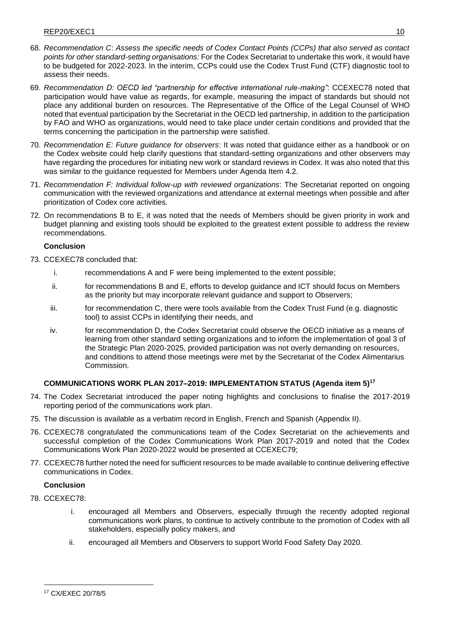- 68. *Recommendation C*: *Assess the specific needs of Codex Contact Points (CCPs) that also served as contact points for other standard-setting organisations:* For the Codex Secretariat to undertake this work, it would have to be budgeted for 2022-2023. In the interim, CCPs could use the Codex Trust Fund (CTF) diagnostic tool to assess their needs.
- 69. *Recommendation D: OECD led "partnership for effective international rule-making"*: CCEXEC78 noted that participation would have value as regards, for example, measuring the impact of standards but should not place any additional burden on resources. The Representative of the Office of the Legal Counsel of WHO noted that eventual participation by the Secretariat in the OECD led partnership, in addition to the participation by FAO and WHO as organizations, would need to take place under certain conditions and provided that the terms concerning the participation in the partnership were satisfied.
- 70. *Recommendation E: Future guidance for observers*: It was noted that guidance either as a handbook or on the Codex website could help clarify questions that standard-setting organizations and other observers may have regarding the procedures for initiating new work or standard reviews in Codex. It was also noted that this was similar to the guidance requested for Members under Agenda Item 4.2.
- 71. *Recommendation F: Individual follow-up with reviewed organizations*: The Secretariat reported on ongoing communication with the reviewed organizations and attendance at external meetings when possible and after prioritization of Codex core activities.
- 72. On recommendations B to E, it was noted that the needs of Members should be given priority in work and budget planning and existing tools should be exploited to the greatest extent possible to address the review recommendations.

### **Conclusion**

- 73. CCEXEC78 concluded that:
	- i. recommendations A and F were being implemented to the extent possible;
	- ii. for recommendations B and E, efforts to develop guidance and ICT should focus on Members as the priority but may incorporate relevant guidance and support to Observers;
	- iii. for recommendation C, there were tools available from the Codex Trust Fund (e.g. diagnostic tool) to assist CCPs in identifying their needs, and
	- iv. for recommendation D, the Codex Secretariat could observe the OECD initiative as a means of learning from other standard setting organizations and to inform the implementation of goal 3 of the Strategic Plan 2020-2025, provided participation was not overly demanding on resources, and conditions to attend those meetings were met by the Secretariat of the Codex Alimentarius Commission.

# <span id="page-9-0"></span>**COMMUNICATIONS WORK PLAN 2017–2019: IMPLEMENTATION STATUS (Agenda item 5)<sup>17</sup>**

- 74. The Codex Secretariat introduced the paper noting highlights and conclusions to finalise the 2017-2019 reporting period of the communications work plan.
- 75. The discussion is available as a verbatim record in English, French and Spanish (Appendix II).
- 76. CCEXEC78 congratulated the communications team of the Codex Secretariat on the achievements and successful completion of the Codex Communications Work Plan 2017-2019 and noted that the Codex Communications Work Plan 2020-2022 would be presented at CCEXEC79;
- 77. CCEXEC78 further noted the need for sufficient resources to be made available to continue delivering effective communications in Codex.

# **Conclusion**

78. CCEXEC78:

- i. encouraged all Members and Observers, especially through the recently adopted regional communications work plans, to continue to actively contribute to the promotion of Codex with all stakeholders, especially policy makers, and
- ii. encouraged all Members and Observers to support World Food Safety Day 2020.

<sup>17</sup> CX/EXEC 20/78/5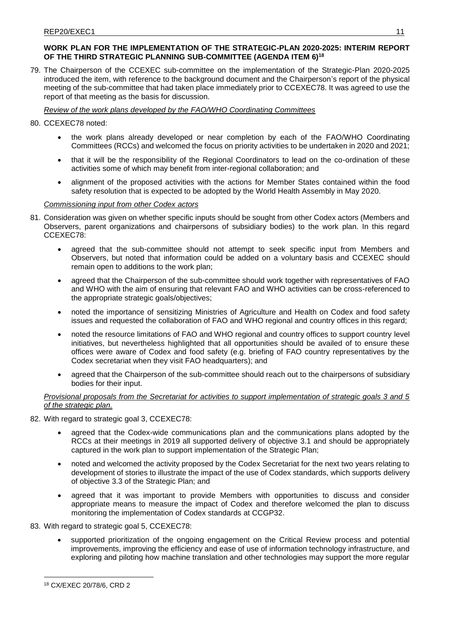# <span id="page-10-0"></span>**WORK PLAN FOR THE IMPLEMENTATION OF THE STRATEGIC-PLAN 2020-2025: INTERIM REPORT OF THE THIRD STRATEGIC PLANNING SUB-COMMITTEE (AGENDA ITEM 6)<sup>18</sup>**

79. The Chairperson of the CCEXEC sub-committee on the implementation of the Strategic-Plan 2020-2025 introduced the item, with reference to the background document and the Chairperson's report of the physical meeting of the sub-committee that had taken place immediately prior to CCEXEC78. It was agreed to use the report of that meeting as the basis for discussion.

# *Review of the work plans developed by the FAO/WHO Coordinating Committees*

# 80. CCEXEC78 noted:

- the work plans already developed or near completion by each of the FAO/WHO Coordinating Committees (RCCs) and welcomed the focus on priority activities to be undertaken in 2020 and 2021;
- that it will be the responsibility of the Regional Coordinators to lead on the co-ordination of these activities some of which may benefit from inter-regional collaboration; and
- alignment of the proposed activities with the actions for Member States contained within the food safety resolution that is expected to be adopted by the World Health Assembly in May 2020.

# *Commissioning input from other Codex actors*

- 81. Consideration was given on whether specific inputs should be sought from other Codex actors (Members and Observers, parent organizations and chairpersons of subsidiary bodies) to the work plan. In this regard CCEXEC78:
	- agreed that the sub-committee should not attempt to seek specific input from Members and Observers, but noted that information could be added on a voluntary basis and CCEXEC should remain open to additions to the work plan;
	- agreed that the Chairperson of the sub-committee should work together with representatives of FAO and WHO with the aim of ensuring that relevant FAO and WHO activities can be cross-referenced to the appropriate strategic goals/objectives;
	- noted the importance of sensitizing Ministries of Agriculture and Health on Codex and food safety issues and requested the collaboration of FAO and WHO regional and country offices in this regard;
	- noted the resource limitations of FAO and WHO regional and country offices to support country level initiatives, but nevertheless highlighted that all opportunities should be availed of to ensure these offices were aware of Codex and food safety (e.g. briefing of FAO country representatives by the Codex secretariat when they visit FAO headquarters); and
	- agreed that the Chairperson of the sub-committee should reach out to the chairpersons of subsidiary bodies for their input.

# *Provisional proposals from the Secretariat for activities to support implementation of strategic goals 3 and 5 of the strategic plan.*

- 82. With regard to strategic goal 3, CCEXEC78:
	- agreed that the Codex-wide communications plan and the communications plans adopted by the RCCs at their meetings in 2019 all supported delivery of objective 3.1 and should be appropriately captured in the work plan to support implementation of the Strategic Plan;
	- noted and welcomed the activity proposed by the Codex Secretariat for the next two years relating to development of stories to illustrate the impact of the use of Codex standards, which supports delivery of objective 3.3 of the Strategic Plan; and
	- agreed that it was important to provide Members with opportunities to discuss and consider appropriate means to measure the impact of Codex and therefore welcomed the plan to discuss monitoring the implementation of Codex standards at CCGP32.
- 83. With regard to strategic goal 5, CCEXEC78:
	- supported prioritization of the ongoing engagement on the Critical Review process and potential improvements, improving the efficiency and ease of use of information technology infrastructure, and exploring and piloting how machine translation and other technologies may support the more regular

 $\overline{a}$ <sup>18</sup> CX/EXEC 20/78/6, CRD 2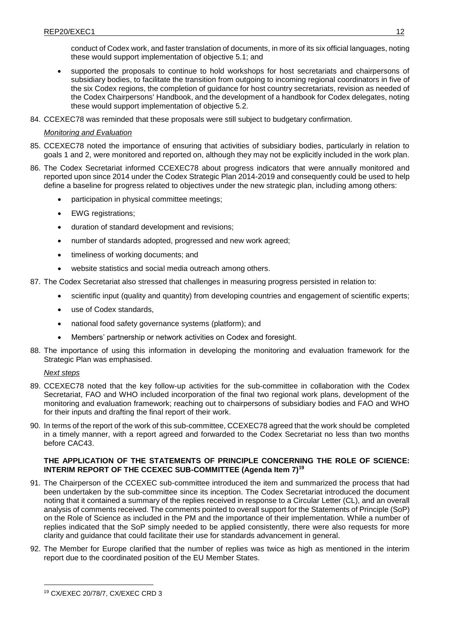conduct of Codex work, and faster translation of documents, in more of its six official languages, noting these would support implementation of objective 5.1; and

- supported the proposals to continue to hold workshops for host secretariats and chairpersons of subsidiary bodies, to facilitate the transition from outgoing to incoming regional coordinators in five of the six Codex regions, the completion of guidance for host country secretariats, revision as needed of the Codex Chairpersons' Handbook, and the development of a handbook for Codex delegates, noting these would support implementation of objective 5.2.
- 84. CCEXEC78 was reminded that these proposals were still subject to budgetary confirmation.

# *Monitoring and Evaluation*

- 85. CCEXEC78 noted the importance of ensuring that activities of subsidiary bodies, particularly in relation to goals 1 and 2, were monitored and reported on, although they may not be explicitly included in the work plan.
- 86. The Codex Secretariat informed CCEXEC78 about progress indicators that were annually monitored and reported upon since 2014 under the Codex Strategic Plan 2014-2019 and consequently could be used to help define a baseline for progress related to objectives under the new strategic plan, including among others:
	- participation in physical committee meetings;
	- EWG registrations;
	- duration of standard development and revisions;
	- number of standards adopted, progressed and new work agreed;
	- timeliness of working documents; and
	- website statistics and social media outreach among others.
- 87. The Codex Secretariat also stressed that challenges in measuring progress persisted in relation to:
	- scientific input (quality and quantity) from developing countries and engagement of scientific experts;
	- use of Codex standards,
	- national food safety governance systems (platform); and
	- Members' partnership or network activities on Codex and foresight.
- 88. The importance of using this information in developing the monitoring and evaluation framework for the Strategic Plan was emphasised.

# *Next steps*

 $\overline{a}$ 

- 89. CCEXEC78 noted that the key follow-up activities for the sub-committee in collaboration with the Codex Secretariat, FAO and WHO included incorporation of the final two regional work plans, development of the monitoring and evaluation framework; reaching out to chairpersons of subsidiary bodies and FAO and WHO for their inputs and drafting the final report of their work.
- 90. In terms of the report of the work of this sub-committee, CCEXEC78 agreed that the work should be completed in a timely manner, with a report agreed and forwarded to the Codex Secretariat no less than two months before CAC43.

# <span id="page-11-0"></span>**THE APPLICATION OF THE STATEMENTS OF PRINCIPLE CONCERNING THE ROLE OF SCIENCE: INTERIM REPORT OF THE CCEXEC SUB-COMMITTEE (Agenda Item 7)<sup>19</sup>**

- 91. The Chairperson of the CCEXEC sub-committee introduced the item and summarized the process that had been undertaken by the sub-committee since its inception. The Codex Secretariat introduced the document noting that it contained a summary of the replies received in response to a Circular Letter (CL), and an overall analysis of comments received. The comments pointed to overall support for the Statements of Principle (SoP) on the Role of Science as included in the PM and the importance of their implementation. While a number of replies indicated that the SoP simply needed to be applied consistently, there were also requests for more clarity and guidance that could facilitate their use for standards advancement in general.
- 92. The Member for Europe clarified that the number of replies was twice as high as mentioned in the interim report due to the coordinated position of the EU Member States.

<sup>19</sup> CX/EXEC 20/78/7, CX/EXEC CRD 3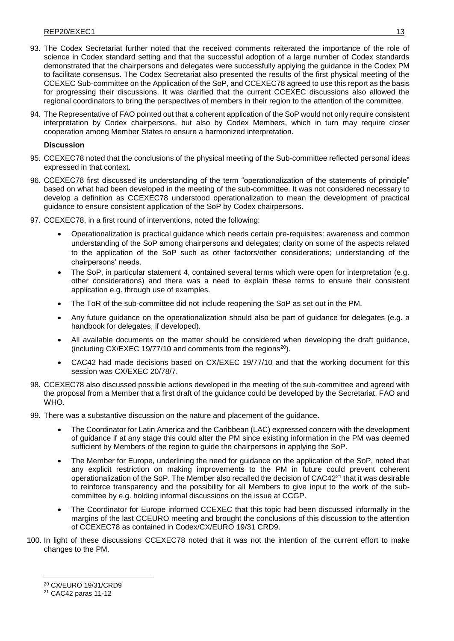- 93. The Codex Secretariat further noted that the received comments reiterated the importance of the role of science in Codex standard setting and that the successful adoption of a large number of Codex standards demonstrated that the chairpersons and delegates were successfully applying the guidance in the Codex PM to facilitate consensus. The Codex Secretariat also presented the results of the first physical meeting of the CCEXEC Sub-committee on the Application of the SoP, and CCEXEC78 agreed to use this report as the basis for progressing their discussions. It was clarified that the current CCEXEC discussions also allowed the regional coordinators to bring the perspectives of members in their region to the attention of the committee.
- 94. The Representative of FAO pointed out that a coherent application of the SoP would not only require consistent interpretation by Codex chairpersons, but also by Codex Members, which in turn may require closer cooperation among Member States to ensure a harmonized interpretation.

### **Discussion**

- 95. CCEXEC78 noted that the conclusions of the physical meeting of the Sub-committee reflected personal ideas expressed in that context.
- 96. CCEXEC78 first discussed its understanding of the term "operationalization of the statements of principle" based on what had been developed in the meeting of the sub-committee. It was not considered necessary to develop a definition as CCEXEC78 understood operationalization to mean the development of practical guidance to ensure consistent application of the SoP by Codex chairpersons.
- 97. CCEXEC78, in a first round of interventions, noted the following:
	- Operationalization is practical guidance which needs certain pre-requisites: awareness and common understanding of the SoP among chairpersons and delegates; clarity on some of the aspects related to the application of the SoP such as other factors/other considerations; understanding of the chairpersons' needs.
	- The SoP, in particular statement 4, contained several terms which were open for interpretation (e.g. other considerations) and there was a need to explain these terms to ensure their consistent application e.g. through use of examples.
	- The ToR of the sub-committee did not include reopening the SoP as set out in the PM.
	- Any future guidance on the operationalization should also be part of guidance for delegates (e.g. a handbook for delegates, if developed).
	- All available documents on the matter should be considered when developing the draft guidance, (including CX/EXEC 19/77/10 and comments from the regions<sup>20</sup>).
	- CAC42 had made decisions based on CX/EXEC 19/77/10 and that the working document for this session was CX/EXEC 20/78/7.
- 98. CCEXEC78 also discussed possible actions developed in the meeting of the sub-committee and agreed with the proposal from a Member that a first draft of the guidance could be developed by the Secretariat, FAO and WHO.
- 99. There was a substantive discussion on the nature and placement of the guidance.
	- The Coordinator for Latin America and the Caribbean (LAC) expressed concern with the development of guidance if at any stage this could alter the PM since existing information in the PM was deemed sufficient by Members of the region to guide the chairpersons in applying the SoP.
	- The Member for Europe, underlining the need for guidance on the application of the SoP, noted that any explicit restriction on making improvements to the PM in future could prevent coherent operationalization of the SoP. The Member also recalled the decision of CAC42<sup>21</sup> that it was desirable to reinforce transparency and the possibility for all Members to give input to the work of the subcommittee by e.g. holding informal discussions on the issue at CCGP.
	- The Coordinator for Europe informed CCEXEC that this topic had been discussed informally in the margins of the last CCEURO meeting and brought the conclusions of this discussion to the attention of CCEXEC78 as contained in Codex/CX/EURO 19/31 CRD9.
- 100. In light of these discussions CCEXEC78 noted that it was not the intention of the current effort to make changes to the PM.

<sup>20</sup> CX/EURO 19/31/CRD9

<sup>21</sup> CAC42 paras 11-12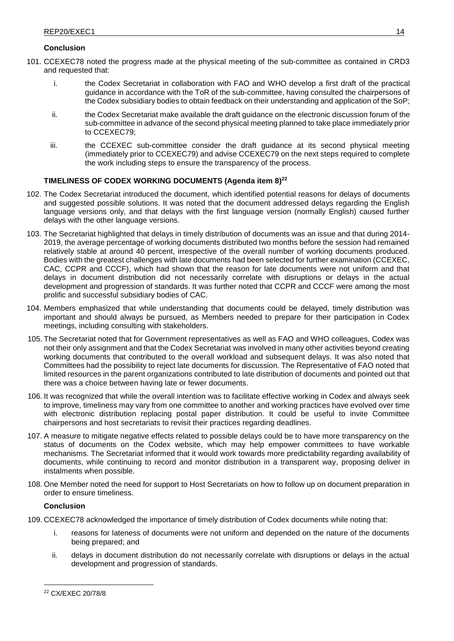### **Conclusion**

- 101. CCEXEC78 noted the progress made at the physical meeting of the sub-committee as contained in CRD3 and requested that:
	- i. the Codex Secretariat in collaboration with FAO and WHO develop a first draft of the practical guidance in accordance with the ToR of the sub-committee, having consulted the chairpersons of the Codex subsidiary bodies to obtain feedback on their understanding and application of the SoP;
	- ii. the Codex Secretariat make available the draft guidance on the electronic discussion forum of the sub-committee in advance of the second physical meeting planned to take place immediately prior to CCEXEC79;
	- iii. the CCEXEC sub-committee consider the draft guidance at its second physical meeting (immediately prior to CCEXEC79) and advise CCEXEC79 on the next steps required to complete the work including steps to ensure the transparency of the process.

# <span id="page-13-0"></span>**TIMELINESS OF CODEX WORKING DOCUMENTS (Agenda item 8) 22**

- 102. The Codex Secretariat introduced the document, which identified potential reasons for delays of documents and suggested possible solutions. It was noted that the document addressed delays regarding the English language versions only, and that delays with the first language version (normally English) caused further delays with the other language versions.
- 103. The Secretariat highlighted that delays in timely distribution of documents was an issue and that during 2014- 2019, the average percentage of working documents distributed two months before the session had remained relatively stable at around 40 percent, irrespective of the overall number of working documents produced. Bodies with the greatest challenges with late documents had been selected for further examination (CCEXEC, CAC, CCPR and CCCF), which had shown that the reason for late documents were not uniform and that delays in document distribution did not necessarily correlate with disruptions or delays in the actual development and progression of standards. It was further noted that CCPR and CCCF were among the most prolific and successful subsidiary bodies of CAC.
- 104. Members emphasized that while understanding that documents could be delayed, timely distribution was important and should always be pursued, as Members needed to prepare for their participation in Codex meetings, including consulting with stakeholders.
- 105. The Secretariat noted that for Government representatives as well as FAO and WHO colleagues, Codex was not their only assignment and that the Codex Secretariat was involved in many other activities beyond creating working documents that contributed to the overall workload and subsequent delays. It was also noted that Committees had the possibility to reject late documents for discussion. The Representative of FAO noted that limited resources in the parent organizations contributed to late distribution of documents and pointed out that there was a choice between having late or fewer documents.
- 106. It was recognized that while the overall intention was to facilitate effective working in Codex and always seek to improve, timeliness may vary from one committee to another and working practices have evolved over time with electronic distribution replacing postal paper distribution. It could be useful to invite Committee chairpersons and host secretariats to revisit their practices regarding deadlines.
- 107. A measure to mitigate negative effects related to possible delays could be to have more transparency on the status of documents on the Codex website, which may help empower committees to have workable mechanisms. The Secretariat informed that it would work towards more predictability regarding availability of documents, while continuing to record and monitor distribution in a transparent way, proposing deliver in instalments when possible.
- 108. One Member noted the need for support to Host Secretariats on how to follow up on document preparation in order to ensure timeliness.

#### **Conclusion**

- 109. CCEXEC78 acknowledged the importance of timely distribution of Codex documents while noting that:
	- i. reasons for lateness of documents were not uniform and depended on the nature of the documents being prepared; and
	- ii. delays in document distribution do not necessarily correlate with disruptions or delays in the actual development and progression of standards.

<sup>22</sup> CX/EXEC 20/78/8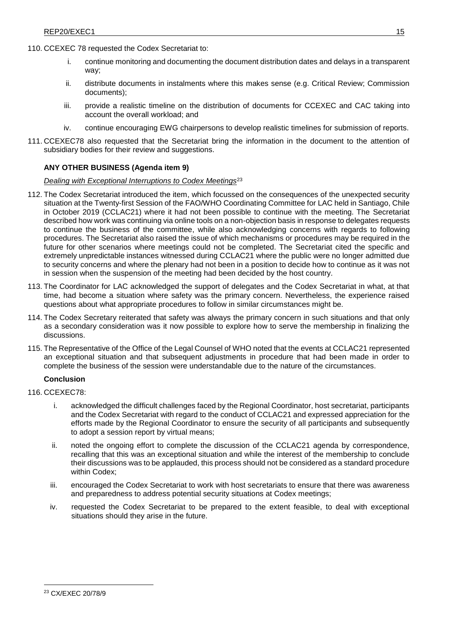- 110. CCEXEC 78 requested the Codex Secretariat to:
	- i. continue monitoring and documenting the document distribution dates and delays in a transparent way;
	- ii. distribute documents in instalments where this makes sense (e.g. Critical Review; Commission documents);
	- iii. provide a realistic timeline on the distribution of documents for CCEXEC and CAC taking into account the overall workload; and
	- iv. continue encouraging EWG chairpersons to develop realistic timelines for submission of reports.
- 111. CCEXEC78 also requested that the Secretariat bring the information in the document to the attention of subsidiary bodies for their review and suggestions.

# <span id="page-14-0"></span>**ANY OTHER BUSINESS (Agenda item 9)**

### *Dealing with Exceptional Interruptions to Codex Meetings*<sup>23</sup>

- 112. The Codex Secretariat introduced the item, which focussed on the consequences of the unexpected security situation at the Twenty-first Session of the FAO/WHO Coordinating Committee for LAC held in Santiago, Chile in October 2019 (CCLAC21) where it had not been possible to continue with the meeting. The Secretariat described how work was continuing via online tools on a non-objection basis in response to delegates requests to continue the business of the committee, while also acknowledging concerns with regards to following procedures. The Secretariat also raised the issue of which mechanisms or procedures may be required in the future for other scenarios where meetings could not be completed. The Secretariat cited the specific and extremely unpredictable instances witnessed during CCLAC21 where the public were no longer admitted due to security concerns and where the plenary had not been in a position to decide how to continue as it was not in session when the suspension of the meeting had been decided by the host country.
- 113. The Coordinator for LAC acknowledged the support of delegates and the Codex Secretariat in what, at that time, had become a situation where safety was the primary concern. Nevertheless, the experience raised questions about what appropriate procedures to follow in similar circumstances might be.
- 114. The Codex Secretary reiterated that safety was always the primary concern in such situations and that only as a secondary consideration was it now possible to explore how to serve the membership in finalizing the discussions.
- 115. The Representative of the Office of the Legal Counsel of WHO noted that the events at CCLAC21 represented an exceptional situation and that subsequent adjustments in procedure that had been made in order to complete the business of the session were understandable due to the nature of the circumstances.

# **Conclusion**

- 116. CCEXEC78:
	- i. acknowledged the difficult challenges faced by the Regional Coordinator, host secretariat, participants and the Codex Secretariat with regard to the conduct of CCLAC21 and expressed appreciation for the efforts made by the Regional Coordinator to ensure the security of all participants and subsequently to adopt a session report by virtual means;
	- ii. noted the ongoing effort to complete the discussion of the CCLAC21 agenda by correspondence, recalling that this was an exceptional situation and while the interest of the membership to conclude their discussions was to be applauded, this process should not be considered as a standard procedure within Codex;
	- iii. encouraged the Codex Secretariat to work with host secretariats to ensure that there was awareness and preparedness to address potential security situations at Codex meetings;
	- iv. requested the Codex Secretariat to be prepared to the extent feasible, to deal with exceptional situations should they arise in the future.

<sup>23</sup> CX/EXEC 20/78/9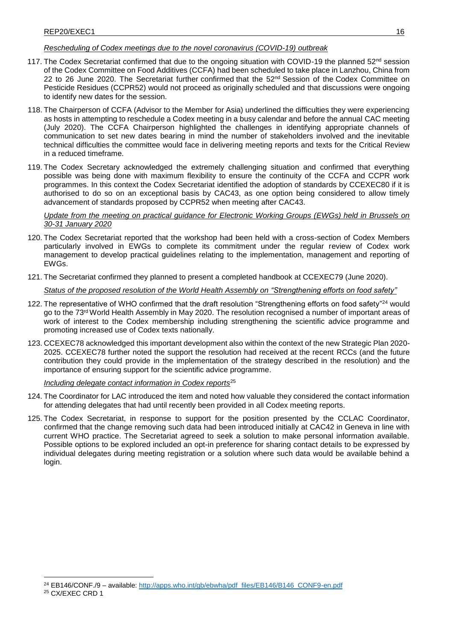# *Rescheduling of Codex meetings due to the novel coronavirus (COVID-19) outbreak*

- 117. The Codex Secretariat confirmed that due to the ongoing situation with COVID-19 the planned  $52^{nd}$  session of the Codex Committee on Food Additives (CCFA) had been scheduled to take place in Lanzhou, China from 22 to 26 June 2020. The Secretariat further confirmed that the 52<sup>nd</sup> Session of the Codex Committee on Pesticide Residues (CCPR52) would not proceed as originally scheduled and that discussions were ongoing to identify new dates for the session.
- 118. The Chairperson of CCFA (Advisor to the Member for Asia) underlined the difficulties they were experiencing as hosts in attempting to reschedule a Codex meeting in a busy calendar and before the annual CAC meeting (July 2020). The CCFA Chairperson highlighted the challenges in identifying appropriate channels of communication to set new dates bearing in mind the number of stakeholders involved and the inevitable technical difficulties the committee would face in delivering meeting reports and texts for the Critical Review in a reduced timeframe.
- 119. The Codex Secretary acknowledged the extremely challenging situation and confirmed that everything possible was being done with maximum flexibility to ensure the continuity of the CCFA and CCPR work programmes. In this context the Codex Secretariat identified the adoption of standards by CCEXEC80 if it is authorised to do so on an exceptional basis by CAC43, as one option being considered to allow timely advancement of standards proposed by CCPR52 when meeting after CAC43.

*Update from the meeting on practical guidance for Electronic Working Groups (EWGs) held in Brussels on 30-31 January 2020*

- 120. The Codex Secretariat reported that the workshop had been held with a cross-section of Codex Members particularly involved in EWGs to complete its commitment under the regular review of Codex work management to develop practical guidelines relating to the implementation, management and reporting of EWGs.
- 121. The Secretariat confirmed they planned to present a completed handbook at CCEXEC79 (June 2020).

*Status of the proposed resolution of the World Health Assembly on "Strengthening efforts on food safety"*

- 122. The representative of WHO confirmed that the draft resolution "Strengthening efforts on food safety"<sup>24</sup> would go to the 73<sup>rd</sup> World Health Assembly in May 2020. The resolution recognised a number of important areas of work of interest to the Codex membership including strengthening the scientific advice programme and promoting increased use of Codex texts nationally.
- 123. CCEXEC78 acknowledged this important development also within the context of the new Strategic Plan 2020- 2025. CCEXEC78 further noted the support the resolution had received at the recent RCCs (and the future contribution they could provide in the implementation of the strategy described in the resolution) and the importance of ensuring support for the scientific advice programme.

*Including delegate contact information in Codex reports*<sup>25</sup>

- 124. The Coordinator for LAC introduced the item and noted how valuable they considered the contact information for attending delegates that had until recently been provided in all Codex meeting reports.
- 125. The Codex Secretariat, in response to support for the position presented by the CCLAC Coordinator, confirmed that the change removing such data had been introduced initially at CAC42 in Geneva in line with current WHO practice. The Secretariat agreed to seek a solution to make personal information available. Possible options to be explored included an opt-in preference for sharing contact details to be expressed by individual delegates during meeting registration or a solution where such data would be available behind a login.

<sup>25</sup> CX/EXEC CRD 1

<sup>&</sup>lt;sup>24</sup> EB146/CONF./9 – available: [http://apps.who.int/gb/ebwha/pdf\\_files/EB146/B146\\_CONF9-en.pdf](http://apps.who.int/gb/ebwha/pdf_files/EB146/B146_CONF9-en.pdf)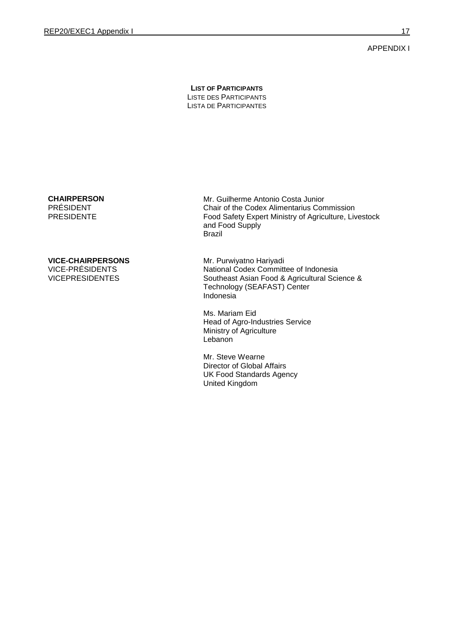<span id="page-16-0"></span>APPENDIX I

**LIST OF PARTICIPANTS** LISTE DES PARTICIPANTS LISTA DE PARTICIPANTES

#### **CHAIRPERSON** PRÉSIDENT PRESIDENTE

# **VICE-CHAIRPERSONS** VICE-PRÉSIDENTS

VICEPRESIDENTES

Mr. Guilherme Antonio Costa Junior Chair of the Codex Alimentarius Commission Food Safety Expert Ministry of Agriculture, Livestock and Food Supply Brazil

Mr. Purwiyatno Hariyadi National Codex Committee of Indonesia Southeast Asian Food & Agricultural Science & Technology (SEAFAST) Center Indonesia

Ms. Mariam Eid Head of Agro-Industries Service Ministry of Agriculture **Lebanon** 

Mr. Steve Wearne Director of Global Affairs UK Food Standards Agency United Kingdom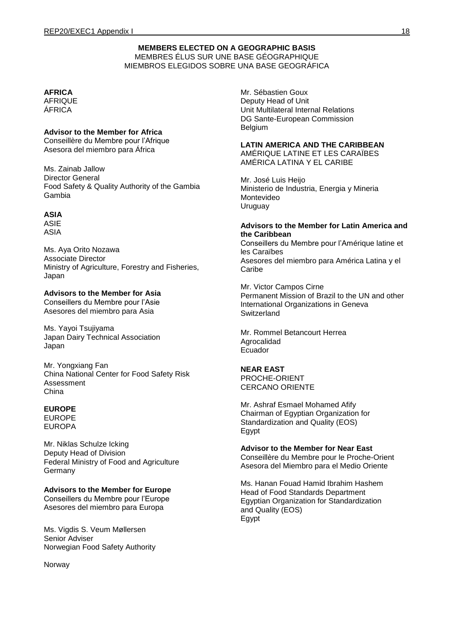# **MEMBERS ELECTED ON A GEOGRAPHIC BASIS** MEMBRES ÉLUS SUR UNE BASE GÉOGRAPHIQUE MIEMBROS ELEGIDOS SOBRE UNA BASE GEOGRÁFICA

# **AFRICA**

**AFRIQUE** ÁFRICA

# **Advisor to the Member for Africa**

Conseillère du Membre pour l'Afrique Asesora del miembro para África

Ms. Zainab Jallow Director General Food Safety & Quality Authority of the Gambia Gambia

# **ASIA**

ASIE ASIA

Ms. Aya Orito Nozawa Associate Director Ministry of Agriculture, Forestry and Fisheries, Japan

# **Advisors to the Member for Asia**

Conseillers du Membre pour l'Asie Asesores del miembro para Asia

Ms. Yayoi Tsujiyama Japan Dairy Technical Association Japan

Mr. Yongxiang Fan China National Center for Food Safety Risk Assessment China

# **EUROPE**

EUROPE EUROPA

Mr. Niklas Schulze Icking Deputy Head of Division Federal Ministry of Food and Agriculture **Germany** 

# **Advisors to the Member for Europe**

Conseillers du Membre pour l'Europe Asesores del miembro para Europa

Ms. Vigdis S. Veum Møllersen Senior Adviser Norwegian Food Safety Authority

Norway

Mr. Sébastien Goux Deputy Head of Unit Unit Multilateral Internal Relations DG Sante-European Commission Belgium

# **LATIN AMERICA AND THE CARIBBEAN**

AMÉRIQUE LATINE ET LES CARAÏBES AMÉRICA LATINA Y EL CARIBE

Mr. José Luis Heijo Ministerio de Industria, Energia y Mineria Montevideo Uruguay

#### **Advisors to the Member for Latin America and the Caribbean**

Conseillers du Membre pour l'Amérique latine et les Caraïbes Asesores del miembro para América Latina y el **Caribe** 

Mr. Victor Campos Cirne Permanent Mission of Brazil to the UN and other International Organizations in Geneva **Switzerland** 

Mr. Rommel Betancourt Herrea Agrocalidad Ecuador

# **NEAR EAST**

PROCHE-ORIENT CERCANO ORIENTE

Mr. Ashraf Esmael Mohamed Afify Chairman of Egyptian Organization for Standardization and Quality (EOS) Egypt

#### **Advisor to the Member for Near East**

Conseillère du Membre pour le Proche-Orient Asesora del Miembro para el Medio Oriente

Ms. Hanan Fouad Hamid Ibrahim Hashem Head of Food Standards Department Egyptian Organization for Standardization and Quality (EOS) Egypt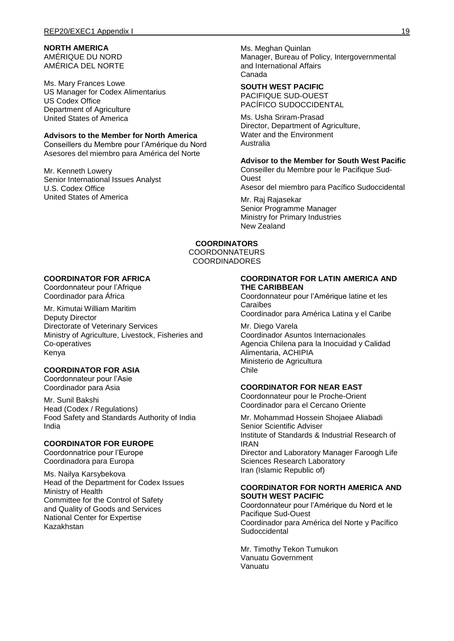# **NORTH AMERICA**

AMÉRIQUE DU NORD AMÉRICA DEL NORTE

Ms. Mary Frances Lowe US Manager for Codex Alimentarius US Codex Office Department of Agriculture United States of America

### **Advisors to the Member for North America**

Conseillers du Membre pour l'Amérique du Nord Asesores del miembro para América del Norte

Mr. Kenneth Lowery Senior International Issues Analyst U.S. Codex Office United States of America

Ms. Meghan Quinlan Manager, Bureau of Policy, Intergovernmental and International Affairs Canada

### **SOUTH WEST PACIFIC**

PACIFIQUE SUD-OUEST PACÍFICO SUDOCCIDENTAL

Ms. Usha Sriram-Prasad Director, Department of Agriculture, Water and the Environment Australia

# **Advisor to the Member for South West Pacific**

Conseiller du Membre pour le Pacifique Sud-**Ouest** Asesor del miembro para Pacífico Sudoccidental

Mr. Raj Rajasekar Senior Programme Manager Ministry for Primary Industries New Zealand

### **COORDINATORS**

COORDONNATEURS COORDINADORES

# **COORDINATOR FOR AFRICA**

Coordonnateur pour l'Afrique Coordinador para África

Mr. Kimutai William Maritim Deputy Director Directorate of Veterinary Services Ministry of Agriculture, Livestock, Fisheries and Co-operatives Kenya

# **COORDINATOR FOR ASIA**

Coordonnateur pour l'Asie Coordinador para Asia

Mr. Sunil Bakshi Head (Codex / Regulations) Food Safety and Standards Authority of India India

### **COORDINATOR FOR EUROPE**

Coordonnatrice pour l'Europe Coordinadora para Europa

Ms. Nailya Karsybekova Head of the Department for Codex Issues Ministry of Health Committee for the Control of Safety and Quality of Goods and Services National Center for Expertise Kazakhstan

#### **COORDINATOR FOR LATIN AMERICA AND THE CARIBBEAN**

Coordonnateur pour l'Amérique latine et les Caraïbes Coordinador para América Latina y el Caribe

Mr. Diego Varela Coordinador Asuntos Internacionales

Agencia Chilena para la Inocuidad y Calidad Alimentaria, ACHIPIA Ministerio de Agricultura Chile

# **COORDINATOR FOR NEAR EAST**

Coordonnateur pour le Proche-Orient Coordinador para el Cercano Oriente

Mr. Mohammad Hossein Shojaee Aliabadi Senior Scientific Adviser Institute of Standards & Industrial Research of IRAN Director and Laboratory Manager Faroogh Life Sciences Research Laboratory Iran (Islamic Republic of)

#### **COORDINATOR FOR NORTH AMERICA AND SOUTH WEST PACIFIC**

Coordonnateur pour l'Amérique du Nord et le Pacifique Sud-Ouest Coordinador para América del Norte y Pacífico **Sudoccidental** 

Mr. Timothy Tekon Tumukon Vanuatu Government Vanuatu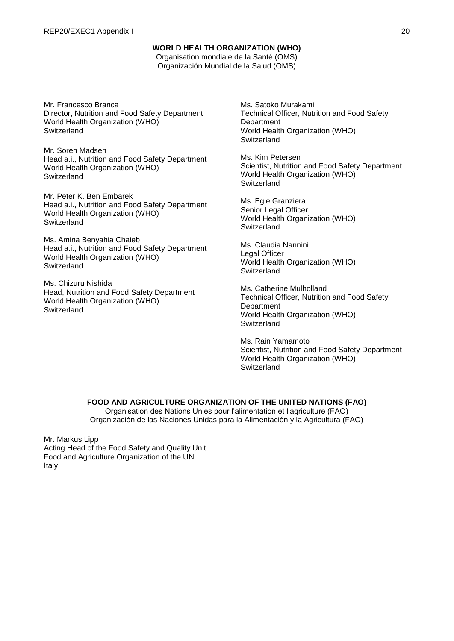### **WORLD HEALTH ORGANIZATION (WHO)**

Organisation mondiale de la Santé (OMS) Organización Mundial de la Salud (OMS)

Mr. Francesco Branca Director, Nutrition and Food Safety Department World Health Organization (WHO) **Switzerland** 

Mr. Soren Madsen Head a.i., Nutrition and Food Safety Department World Health Organization (WHO) **Switzerland** 

Mr. Peter K. Ben Embarek Head a.i., Nutrition and Food Safety Department World Health Organization (WHO) **Switzerland** 

Ms. Amina Benyahia Chaieb Head a.i., Nutrition and Food Safety Department World Health Organization (WHO) **Switzerland** 

Ms. Chizuru Nishida Head, Nutrition and Food Safety Department World Health Organization (WHO) **Switzerland** 

Ms. Satoko Murakami Technical Officer, Nutrition and Food Safety **Department** World Health Organization (WHO) Switzerland

Ms. Kim Petersen Scientist, Nutrition and Food Safety Department World Health Organization (WHO) **Switzerland** 

Ms. Egle Granziera Senior Legal Officer World Health Organization (WHO) **Switzerland** 

Ms. Claudia Nannini Legal Officer World Health Organization (WHO) **Switzerland** 

Ms. Catherine Mulholland Technical Officer, Nutrition and Food Safety **Department** World Health Organization (WHO) **Switzerland** 

Ms. Rain Yamamoto Scientist, Nutrition and Food Safety Department World Health Organization (WHO) **Switzerland** 

# **FOOD AND AGRICULTURE ORGANIZATION OF THE UNITED NATIONS (FAO)**

Organisation des Nations Unies pour l'alimentation et l'agriculture (FAO) Organización de las Naciones Unidas para la Alimentación y la Agricultura (FAO)

Mr. Markus Lipp Acting Head of the Food Safety and Quality Unit Food and Agriculture Organization of the UN Italy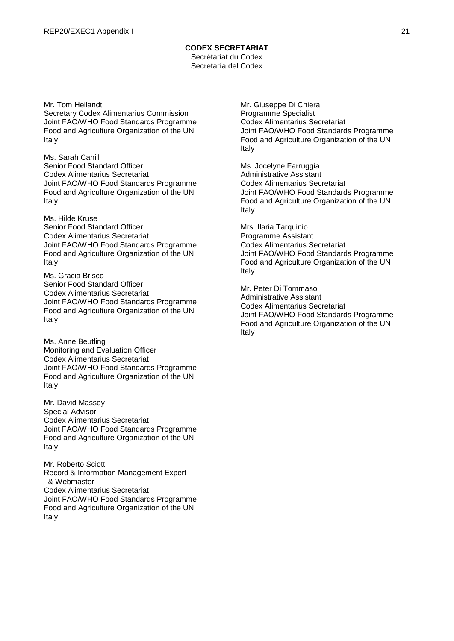#### **CODEX SECRETARIAT** Secrétariat du Codex

Secretaría del Codex

Mr. Tom Heilandt Secretary Codex Alimentarius Commission Joint FAO/WHO Food Standards Programme Food and Agriculture Organization of the UN Italy

Ms. Sarah Cahill Senior Food Standard Officer Codex Alimentarius Secretariat Joint FAO/WHO Food Standards Programme Food and Agriculture Organization of the UN Italy

Ms. Hilde Kruse Senior Food Standard Officer Codex Alimentarius Secretariat Joint FAO/WHO Food Standards Programme Food and Agriculture Organization of the UN Italy

Ms. Gracia Brisco Senior Food Standard Officer Codex Alimentarius Secretariat Joint FAO/WHO Food Standards Programme Food and Agriculture Organization of the UN Italy

Ms. Anne Beutling Monitoring and Evaluation Officer Codex Alimentarius Secretariat Joint FAO/WHO Food Standards Programme Food and Agriculture Organization of the UN Italy

Mr. David Massey Special Advisor Codex Alimentarius Secretariat Joint FAO/WHO Food Standards Programme Food and Agriculture Organization of the UN Italy

Mr. Roberto Sciotti Record & Information Management Expert & Webmaster Codex Alimentarius Secretariat Joint FAO/WHO Food Standards Programme Food and Agriculture Organization of the UN Italy

Mr. Giuseppe Di Chiera Programme Specialist Codex Alimentarius Secretariat Joint FAO/WHO Food Standards Programme Food and Agriculture Organization of the UN Italy

Ms. Jocelyne Farruggia Administrative Assistant Codex Alimentarius Secretariat Joint FAO/WHO Food Standards Programme Food and Agriculture Organization of the UN Italy

Mrs. Ilaria Tarquinio Programme Assistant Codex Alimentarius Secretariat Joint FAO/WHO Food Standards Programme Food and Agriculture Organization of the UN Italy

Mr. Peter Di Tommaso Administrative Assistant Codex Alimentarius Secretariat Joint FAO/WHO Food Standards Programme Food and Agriculture Organization of the UN Italy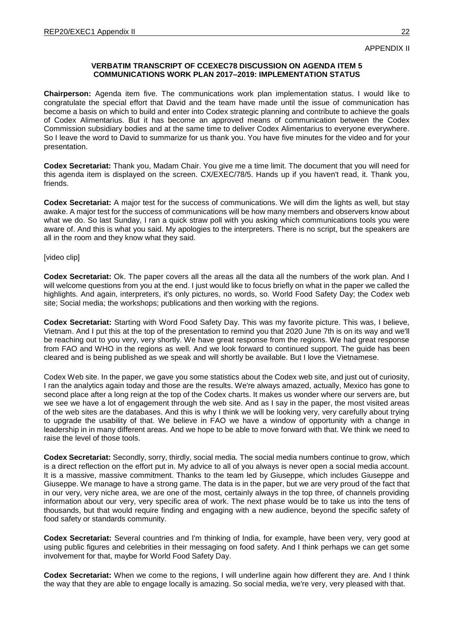<span id="page-21-0"></span>APPENDIX II

# **VERBATIM TRANSCRIPT OF CCEXEC78 DISCUSSION ON AGENDA ITEM 5 COMMUNICATIONS WORK PLAN 2017–2019: IMPLEMENTATION STATUS**

**Chairperson:** Agenda item five. The communications work plan implementation status. I would like to congratulate the special effort that David and the team have made until the issue of communication has become a basis on which to build and enter into Codex strategic planning and contribute to achieve the goals of Codex Alimentarius. But it has become an approved means of communication between the Codex Commission subsidiary bodies and at the same time to deliver Codex Alimentarius to everyone everywhere. So I leave the word to David to summarize for us thank you. You have five minutes for the video and for your presentation.

**Codex Secretariat:** Thank you, Madam Chair. You give me a time limit. The document that you will need for this agenda item is displayed on the screen. CX/EXEC/78/5. Hands up if you haven't read, it. Thank you, friends.

**Codex Secretariat:** A major test for the success of communications. We will dim the lights as well, but stay awake. A major test for the success of communications will be how many members and observers know about what we do. So last Sunday, I ran a quick straw poll with you asking which communications tools you were aware of. And this is what you said. My apologies to the interpreters. There is no script, but the speakers are all in the room and they know what they said.

### [video clip]

**Codex Secretariat:** Ok. The paper covers all the areas all the data all the numbers of the work plan. And I will welcome questions from you at the end. I just would like to focus briefly on what in the paper we called the highlights. And again, interpreters, it's only pictures, no words, so. World Food Safety Day; the Codex web site; Social media; the workshops; publications and then working with the regions.

**Codex Secretariat:** Starting with Word Food Safety Day. This was my favorite picture. This was, I believe, Vietnam. And I put this at the top of the presentation to remind you that 2020 June 7th is on its way and we'll be reaching out to you very, very shortly. We have great response from the regions. We had great response from FAO and WHO in the regions as well. And we look forward to continued support. The guide has been cleared and is being published as we speak and will shortly be available. But I love the Vietnamese.

Codex Web site. In the paper, we gave you some statistics about the Codex web site, and just out of curiosity, I ran the analytics again today and those are the results. We're always amazed, actually, Mexico has gone to second place after a long reign at the top of the Codex charts. It makes us wonder where our servers are, but we see we have a lot of engagement through the web site. And as I say in the paper, the most visited areas of the web sites are the databases. And this is why I think we will be looking very, very carefully about trying to upgrade the usability of that. We believe in FAO we have a window of opportunity with a change in leadership in in many different areas. And we hope to be able to move forward with that. We think we need to raise the level of those tools.

**Codex Secretariat:** Secondly, sorry, thirdly, social media. The social media numbers continue to grow, which is a direct reflection on the effort put in. My advice to all of you always is never open a social media account. It is a massive, massive commitment. Thanks to the team led by Giuseppe, which includes Giuseppe and Giuseppe. We manage to have a strong game. The data is in the paper, but we are very proud of the fact that in our very, very niche area, we are one of the most, certainly always in the top three, of channels providing information about our very, very specific area of work. The next phase would be to take us into the tens of thousands, but that would require finding and engaging with a new audience, beyond the specific safety of food safety or standards community.

**Codex Secretariat:** Several countries and I'm thinking of India, for example, have been very, very good at using public figures and celebrities in their messaging on food safety. And I think perhaps we can get some involvement for that, maybe for World Food Safety Day.

**Codex Secretariat:** When we come to the regions, I will underline again how different they are. And I think the way that they are able to engage locally is amazing. So social media, we're very, very pleased with that.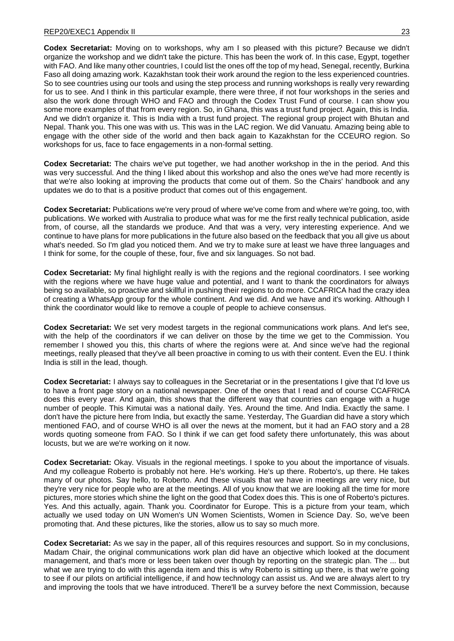**Codex Secretariat:** Moving on to workshops, why am I so pleased with this picture? Because we didn't organize the workshop and we didn't take the picture. This has been the work of. In this case, Egypt, together with FAO. And like many other countries, I could list the ones off the top of my head, Senegal, recently, Burkina Faso all doing amazing work. Kazakhstan took their work around the region to the less experienced countries. So to see countries using our tools and using the step process and running workshops is really very rewarding for us to see. And I think in this particular example, there were three, if not four workshops in the series and also the work done through WHO and FAO and through the Codex Trust Fund of course. I can show you some more examples of that from every region. So, in Ghana, this was a trust fund project. Again, this is India. And we didn't organize it. This is India with a trust fund project. The regional group project with Bhutan and Nepal. Thank you. This one was with us. This was in the LAC region. We did Vanuatu. Amazing being able to engage with the other side of the world and then back again to Kazakhstan for the CCEURO region. So workshops for us, face to face engagements in a non-formal setting.

**Codex Secretariat:** The chairs we've put together, we had another workshop in the in the period. And this was very successful. And the thing I liked about this workshop and also the ones we've had more recently is that we're also looking at improving the products that come out of them. So the Chairs' handbook and any updates we do to that is a positive product that comes out of this engagement.

**Codex Secretariat:** Publications we're very proud of where we've come from and where we're going, too, with publications. We worked with Australia to produce what was for me the first really technical publication, aside from, of course, all the standards we produce. And that was a very, very interesting experience. And we continue to have plans for more publications in the future also based on the feedback that you all give us about what's needed. So I'm glad you noticed them. And we try to make sure at least we have three languages and I think for some, for the couple of these, four, five and six languages. So not bad.

**Codex Secretariat:** My final highlight really is with the regions and the regional coordinators. I see working with the regions where we have huge value and potential, and I want to thank the coordinators for always being so available, so proactive and skillful in pushing their regions to do more. CCAFRICA had the crazy idea of creating a WhatsApp group for the whole continent. And we did. And we have and it's working. Although I think the coordinator would like to remove a couple of people to achieve consensus.

**Codex Secretariat:** We set very modest targets in the regional communications work plans. And let's see, with the help of the coordinators if we can deliver on those by the time we get to the Commission. You remember I showed you this, this charts of where the regions were at. And since we've had the regional meetings, really pleased that they've all been proactive in coming to us with their content. Even the EU. I think India is still in the lead, though.

**Codex Secretariat:** I always say to colleagues in the Secretariat or in the presentations I give that I'd love us to have a front page story on a national newspaper. One of the ones that I read and of course CCAFRICA does this every year. And again, this shows that the different way that countries can engage with a huge number of people. This Kimutai was a national daily. Yes. Around the time. And India. Exactly the same. I don't have the picture here from India, but exactly the same. Yesterday, The Guardian did have a story which mentioned FAO, and of course WHO is all over the news at the moment, but it had an FAO story and a 28 words quoting someone from FAO. So I think if we can get food safety there unfortunately, this was about locusts, but we are we're working on it now.

**Codex Secretariat:** Okay. Visuals in the regional meetings. I spoke to you about the importance of visuals. And my colleague Roberto is probably not here. He's working. He's up there. Roberto's, up there. He takes many of our photos. Say hello, to Roberto. And these visuals that we have in meetings are very nice, but they're very nice for people who are at the meetings. All of you know that we are looking all the time for more pictures, more stories which shine the light on the good that Codex does this. This is one of Roberto's pictures. Yes. And this actually, again. Thank you. Coordinator for Europe. This is a picture from your team, which actually we used today on UN Women's UN Women Scientists, Women in Science Day. So, we've been promoting that. And these pictures, like the stories, allow us to say so much more.

**Codex Secretariat:** As we say in the paper, all of this requires resources and support. So in my conclusions, Madam Chair, the original communications work plan did have an objective which looked at the document management, and that's more or less been taken over though by reporting on the strategic plan. The ... but what we are trying to do with this agenda item and this is why Roberto is sitting up there, is that we're going to see if our pilots on artificial intelligence, if and how technology can assist us. And we are always alert to try and improving the tools that we have introduced. There'll be a survey before the next Commission, because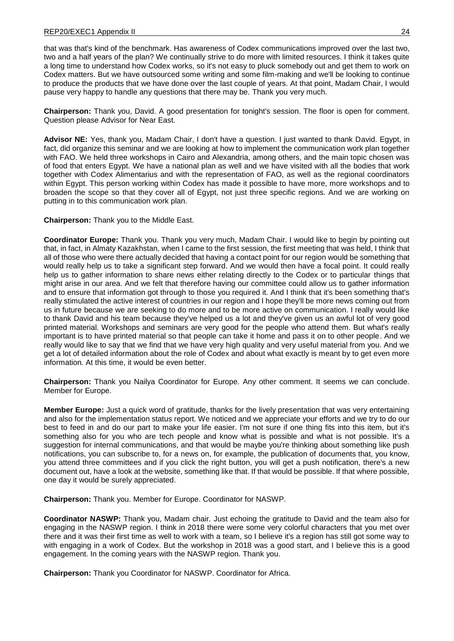that was that's kind of the benchmark. Has awareness of Codex communications improved over the last two, two and a half years of the plan? We continually strive to do more with limited resources. I think it takes quite a long time to understand how Codex works, so it's not easy to pluck somebody out and get them to work on Codex matters. But we have outsourced some writing and some film-making and we'll be looking to continue to produce the products that we have done over the last couple of years. At that point, Madam Chair, I would pause very happy to handle any questions that there may be. Thank you very much.

**Chairperson:** Thank you, David. A good presentation for tonight's session. The floor is open for comment. Question please Advisor for Near East.

**Advisor NE:** Yes, thank you, Madam Chair, I don't have a question. I just wanted to thank David. Egypt, in fact, did organize this seminar and we are looking at how to implement the communication work plan together with FAO. We held three workshops in Cairo and Alexandria, among others, and the main topic chosen was of food that enters Egypt. We have a national plan as well and we have visited with all the bodies that work together with Codex Alimentarius and with the representation of FAO, as well as the regional coordinators within Egypt. This person working within Codex has made it possible to have more, more workshops and to broaden the scope so that they cover all of Egypt, not just three specific regions. And we are working on putting in to this communication work plan.

**Chairperson:** Thank you to the Middle East.

**Coordinator Europe:** Thank you. Thank you very much, Madam Chair. I would like to begin by pointing out that, in fact, in Almaty Kazakhstan, when I came to the first session, the first meeting that was held, I think that all of those who were there actually decided that having a contact point for our region would be something that would really help us to take a significant step forward. And we would then have a focal point. It could really help us to gather information to share news either relating directly to the Codex or to particular things that might arise in our area. And we felt that therefore having our committee could allow us to gather information and to ensure that information got through to those you required it. And I think that it's been something that's really stimulated the active interest of countries in our region and I hope they'll be more news coming out from us in future because we are seeking to do more and to be more active on communication. I really would like to thank David and his team because they've helped us a lot and they've given us an awful lot of very good printed material. Workshops and seminars are very good for the people who attend them. But what's really important is to have printed material so that people can take it home and pass it on to other people. And we really would like to say that we find that we have very high quality and very useful material from you. And we get a lot of detailed information about the role of Codex and about what exactly is meant by to get even more information. At this time, it would be even better.

**Chairperson:** Thank you Nailya Coordinator for Europe. Any other comment. It seems we can conclude. Member for Europe.

**Member Europe:** Just a quick word of gratitude, thanks for the lively presentation that was very entertaining and also for the implementation status report. We noticed and we appreciate your efforts and we try to do our best to feed in and do our part to make your life easier. I'm not sure if one thing fits into this item, but it's something also for you who are tech people and know what is possible and what is not possible. It's a suggestion for internal communications, and that would be maybe you're thinking about something like push notifications, you can subscribe to, for a news on, for example, the publication of documents that, you know, you attend three committees and if you click the right button, you will get a push notification, there's a new document out, have a look at the website, something like that. If that would be possible. If that where possible, one day it would be surely appreciated.

**Chairperson:** Thank you. Member for Europe. Coordinator for NASWP.

**Coordinator NASWP:** Thank you, Madam chair. Just echoing the gratitude to David and the team also for engaging in the NASWP region. I think in 2018 there were some very colorful characters that you met over there and it was their first time as well to work with a team, so I believe it's a region has still got some way to with engaging in a work of Codex. But the workshop in 2018 was a good start, and I believe this is a good engagement. In the coming years with the NASWP region. Thank you.

**Chairperson:** Thank you Coordinator for NASWP. Coordinator for Africa.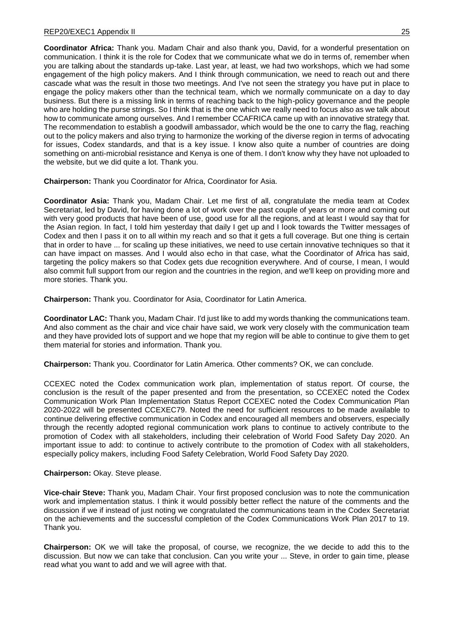**Coordinator Africa:** Thank you. Madam Chair and also thank you, David, for a wonderful presentation on communication. I think it is the role for Codex that we communicate what we do in terms of, remember when you are talking about the standards up-take. Last year, at least, we had two workshops, which we had some engagement of the high policy makers. And I think through communication, we need to reach out and there cascade what was the result in those two meetings. And I've not seen the strategy you have put in place to engage the policy makers other than the technical team, which we normally communicate on a day to day business. But there is a missing link in terms of reaching back to the high-policy governance and the people who are holding the purse strings. So I think that is the one which we really need to focus also as we talk about how to communicate among ourselves. And I remember CCAFRICA came up with an innovative strategy that. The recommendation to establish a goodwill ambassador, which would be the one to carry the flag, reaching out to the policy makers and also trying to harmonize the working of the diverse region in terms of advocating for issues, Codex standards, and that is a key issue. I know also quite a number of countries are doing something on anti-microbial resistance and Kenya is one of them. I don't know why they have not uploaded to the website, but we did quite a lot. Thank you.

**Chairperson:** Thank you Coordinator for Africa, Coordinator for Asia.

**Coordinator Asia:** Thank you, Madam Chair. Let me first of all, congratulate the media team at Codex Secretariat, led by David, for having done a lot of work over the past couple of years or more and coming out with very good products that have been of use, good use for all the regions, and at least I would say that for the Asian region. In fact, I told him yesterday that daily I get up and I look towards the Twitter messages of Codex and then I pass it on to all within my reach and so that it gets a full coverage. But one thing is certain that in order to have ... for scaling up these initiatives, we need to use certain innovative techniques so that it can have impact on masses. And I would also echo in that case, what the Coordinator of Africa has said, targeting the policy makers so that Codex gets due recognition everywhere. And of course, I mean, I would also commit full support from our region and the countries in the region, and we'll keep on providing more and more stories. Thank you.

**Chairperson:** Thank you. Coordinator for Asia, Coordinator for Latin America.

**Coordinator LAC:** Thank you, Madam Chair. I'd just like to add my words thanking the communications team. And also comment as the chair and vice chair have said, we work very closely with the communication team and they have provided lots of support and we hope that my region will be able to continue to give them to get them material for stories and information. Thank you.

**Chairperson:** Thank you. Coordinator for Latin America. Other comments? OK, we can conclude.

CCEXEC noted the Codex communication work plan, implementation of status report. Of course, the conclusion is the result of the paper presented and from the presentation, so CCEXEC noted the Codex Communication Work Plan Implementation Status Report CCEXEC noted the Codex Communication Plan 2020-2022 will be presented CCEXEC79. Noted the need for sufficient resources to be made available to continue delivering effective communication in Codex and encouraged all members and observers, especially through the recently adopted regional communication work plans to continue to actively contribute to the promotion of Codex with all stakeholders, including their celebration of World Food Safety Day 2020. An important issue to add: to continue to actively contribute to the promotion of Codex with all stakeholders, especially policy makers, including Food Safety Celebration, World Food Safety Day 2020.

# **Chairperson:** Okay. Steve please.

**Vice-chair Steve:** Thank you, Madam Chair. Your first proposed conclusion was to note the communication work and implementation status. I think it would possibly better reflect the nature of the comments and the discussion if we if instead of just noting we congratulated the communications team in the Codex Secretariat on the achievements and the successful completion of the Codex Communications Work Plan 2017 to 19. Thank you.

**Chairperson:** OK we will take the proposal, of course, we recognize, the we decide to add this to the discussion. But now we can take that conclusion. Can you write your ... Steve, in order to gain time, please read what you want to add and we will agree with that.